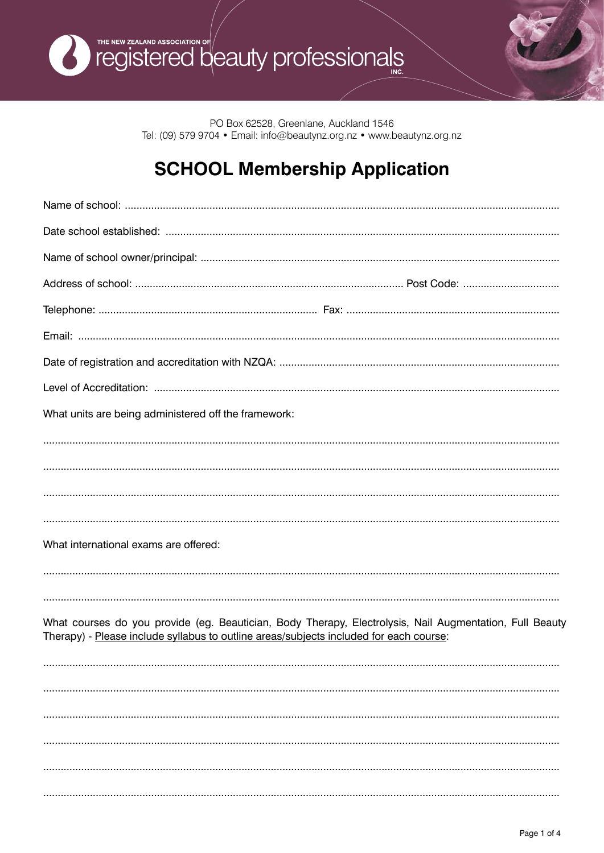

PO Box 62528, Greenlane, Auckland 1546 Tel: (09) 579 9704 · Email: info@beautynz.org.nz · www.beautynz.org.nz

# **SCHOOL Membership Application**

| What units are being administered off the framework:                                                                                                                                              |
|---------------------------------------------------------------------------------------------------------------------------------------------------------------------------------------------------|
|                                                                                                                                                                                                   |
|                                                                                                                                                                                                   |
|                                                                                                                                                                                                   |
|                                                                                                                                                                                                   |
| What international exams are offered:                                                                                                                                                             |
|                                                                                                                                                                                                   |
|                                                                                                                                                                                                   |
| What courses do you provide (eg. Beautician, Body Therapy, Electrolysis, Nail Augmentation, Full Beauty<br>Therapy) - Please include syllabus to outline areas/subjects included for each course: |
|                                                                                                                                                                                                   |
|                                                                                                                                                                                                   |
|                                                                                                                                                                                                   |
|                                                                                                                                                                                                   |
|                                                                                                                                                                                                   |
|                                                                                                                                                                                                   |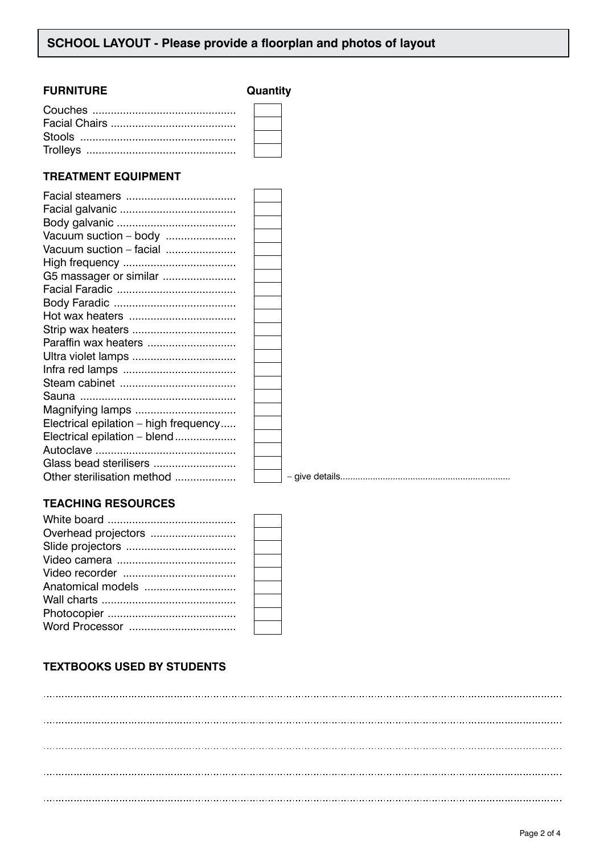#### **FURNITURE Quantity**

#### **TREATMENT EQUIPMENT**

| Vacuum suction - body                 |  |
|---------------------------------------|--|
| Vacuum suction - facial               |  |
|                                       |  |
| G5 massager or similar                |  |
|                                       |  |
|                                       |  |
|                                       |  |
| Strip wax heaters                     |  |
| Paraffin wax heaters                  |  |
| Ultra violet lamps                    |  |
|                                       |  |
|                                       |  |
|                                       |  |
| Magnifying lamps                      |  |
| Electrical epilation - high frequency |  |
| Electrical epilation - blend          |  |
|                                       |  |
| Glass bead sterilisers                |  |
| Other sterilisation method            |  |
|                                       |  |

– give details....................................................................

## **TEACHING RESOURCES**

| Overhead projectors |  |
|---------------------|--|
|                     |  |
|                     |  |
|                     |  |
|                     |  |
|                     |  |
|                     |  |
|                     |  |
|                     |  |

## **TEXTBOOKS USED BY STUDENTS**